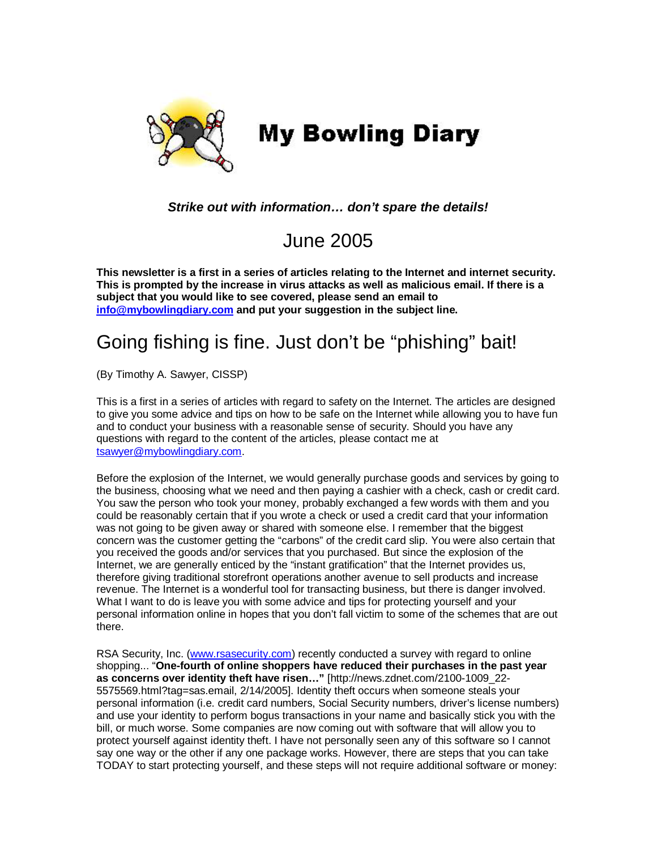

## *Strike out with information… don't spare the details!*

## June 2005

**This newsletter is a first in a series of articles relating to the Internet and internet security. This is prompted by the increase in virus attacks as well as malicious email. If there is a subject that you would like to see covered, please send an email to info@mybowlingdiary.com and put your suggestion in the subject line.** 

## Going fishing is fine. Just don't be "phishing" bait!

(By Timothy A. Sawyer, CISSP)

This is a first in a series of articles with regard to safety on the Internet. The articles are designed to give you some advice and tips on how to be safe on the Internet while allowing you to have fun and to conduct your business with a reasonable sense of security. Should you have any questions with regard to the content of the articles, please contact me at tsawyer@mybowlingdiary.com.

Before the explosion of the Internet, we would generally purchase goods and services by going to the business, choosing what we need and then paying a cashier with a check, cash or credit card. You saw the person who took your money, probably exchanged a few words with them and you could be reasonably certain that if you wrote a check or used a credit card that your information was not going to be given away or shared with someone else. I remember that the biggest concern was the customer getting the "carbons" of the credit card slip. You were also certain that you received the goods and/or services that you purchased. But since the explosion of the Internet, we are generally enticed by the "instant gratification" that the Internet provides us, therefore giving traditional storefront operations another avenue to sell products and increase revenue. The Internet is a wonderful tool for transacting business, but there is danger involved. What I want to do is leave you with some advice and tips for protecting yourself and your personal information online in hopes that you don't fall victim to some of the schemes that are out there.

RSA Security, Inc. (www.rsasecurity.com) recently conducted a survey with regard to online shopping... "**One-fourth of online shoppers have reduced their purchases in the past year as concerns over identity theft have risen…"** [http://news.zdnet.com/2100-1009\_22- 5575569.html?tag=sas.email, 2/14/2005]. Identity theft occurs when someone steals your personal information (i.e. credit card numbers, Social Security numbers, driver's license numbers) and use your identity to perform bogus transactions in your name and basically stick you with the bill, or much worse. Some companies are now coming out with software that will allow you to protect yourself against identity theft. I have not personally seen any of this software so I cannot say one way or the other if any one package works. However, there are steps that you can take TODAY to start protecting yourself, and these steps will not require additional software or money: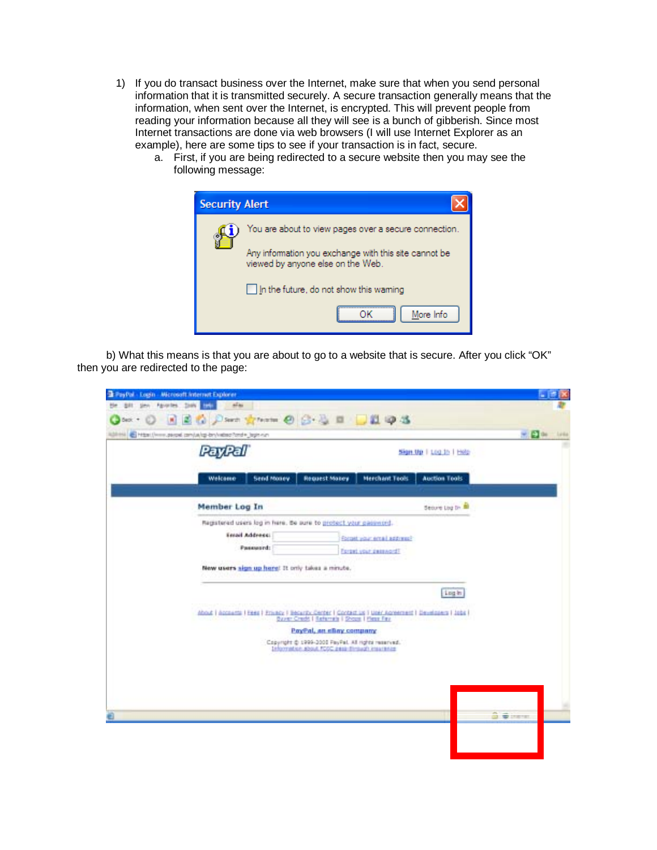- 1) If you do transact business over the Internet, make sure that when you send personal information that it is transmitted securely. A secure transaction generally means that the information, when sent over the Internet, is encrypted. This will prevent people from reading your information because all they will see is a bunch of gibberish. Since most Internet transactions are done via web browsers (I will use Internet Explorer as an example), here are some tips to see if your transaction is in fact, secure.
	- a. First, if you are being redirected to a secure website then you may see the following message:



b) What this means is that you are about to go to a website that is secure. After you click "OK" then you are redirected to the page:

| PayPali                                                                                                                                                 |                                                                                                       |                        | Sign Up   Log In   Help |
|---------------------------------------------------------------------------------------------------------------------------------------------------------|-------------------------------------------------------------------------------------------------------|------------------------|-------------------------|
| Send Money<br>Welcome                                                                                                                                   | Request Makey                                                                                         | <b>Merchant Teols</b>  | <b>Auction Tools</b>    |
| Member Log In                                                                                                                                           |                                                                                                       |                        | Secure Log by           |
| Password:<br>New users sign up here! It only takes a minute.                                                                                            |                                                                                                       | Forget your designant? |                         |
| About   Accessita   Free   Privacy   Becarby Center   Contact us   Univ Agreement   Developers   Jobs  <br>Store: Credit   Seferrals   School Plens Fax | PayPal, an ellay company                                                                              |                        | Log in                  |
|                                                                                                                                                         | Copyright @ 1999-3000 PayPal, All rights reserved."<br>Information about FCOC dasa divisor) insurance |                        |                         |
|                                                                                                                                                         |                                                                                                       |                        |                         |
|                                                                                                                                                         |                                                                                                       |                        |                         |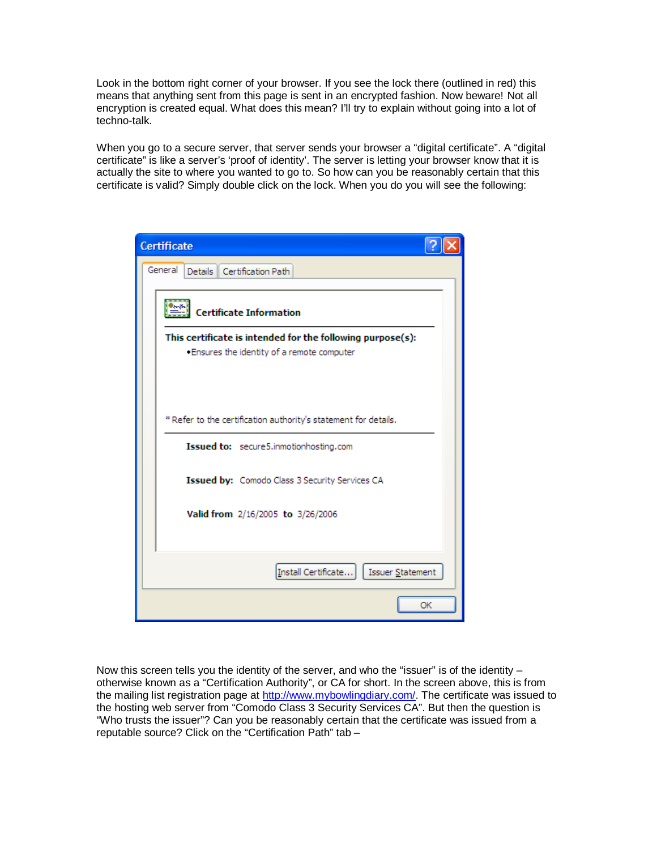Look in the bottom right corner of your browser. If you see the lock there (outlined in red) this means that anything sent from this page is sent in an encrypted fashion. Now beware! Not all encryption is created equal. What does this mean? I'll try to explain without going into a lot of techno-talk.

When you go to a secure server, that server sends your browser a "digital certificate". A "digital certificate" is like a server's 'proof of identity'. The server is letting your browser know that it is actually the site to where you wanted to go to. So how can you be reasonably certain that this certificate is valid? Simply double click on the lock. When you do you will see the following:

| <b>Certificate</b>                                                                                        |
|-----------------------------------------------------------------------------------------------------------|
| General<br>Details   Certification Path                                                                   |
| <b>Certificate Information</b>                                                                            |
| This certificate is intended for the following purpose(s):<br>. Ensures the identity of a remote computer |
|                                                                                                           |
| * Refer to the certification authority's statement for details.                                           |
| Issued to: secure5.inmotionhosting.com                                                                    |
| Issued by: Comodo Class 3 Security Services CA                                                            |
| Valid from 2/16/2005 to 3/26/2006                                                                         |
| Install Certificate     Issuer Statement                                                                  |
| OK                                                                                                        |

Now this screen tells you the identity of the server, and who the "issuer" is of the identity  $$ otherwise known as a "Certification Authority", or CA for short. In the screen above, this is from the mailing list registration page at http://www.mybowlingdiary.com/. The certificate was issued to the hosting web server from "Comodo Class 3 Security Services CA". But then the question is "Who trusts the issuer"? Can you be reasonably certain that the certificate was issued from a reputable source? Click on the "Certification Path" tab –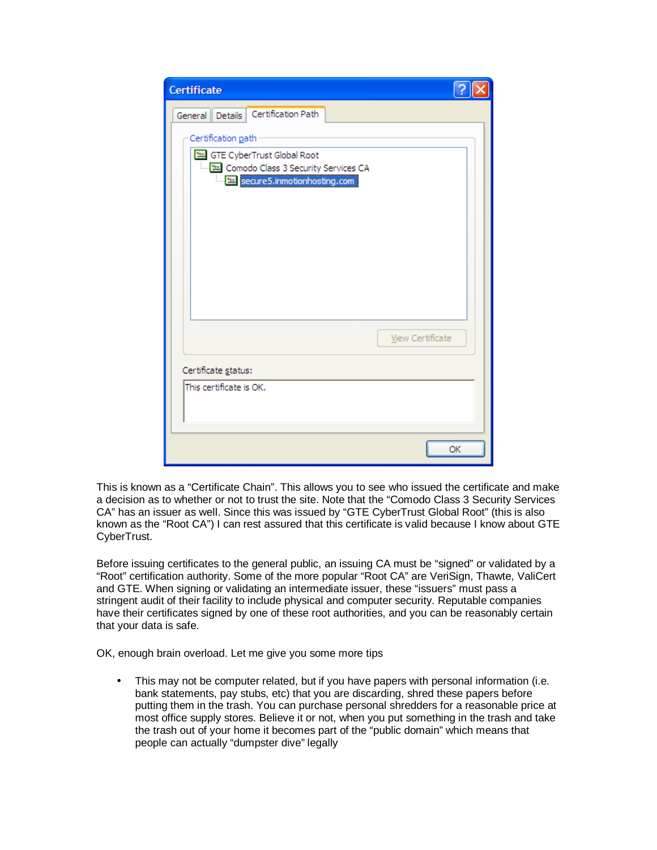| <b>Certificate</b>                                                                      |  |
|-----------------------------------------------------------------------------------------|--|
| Certification Path<br><b>Details</b><br>General                                         |  |
| Certification path<br>GTE CyberTrust Global Root<br>Comodo Class 3 Security Services CA |  |
| secure5.inmotionhosting.com                                                             |  |
|                                                                                         |  |
|                                                                                         |  |
|                                                                                         |  |
| View Certificate                                                                        |  |
| Certificate status:                                                                     |  |
| This certificate is OK.                                                                 |  |
|                                                                                         |  |
| OK                                                                                      |  |

This is known as a "Certificate Chain". This allows you to see who issued the certificate and make a decision as to whether or not to trust the site. Note that the "Comodo Class 3 Security Services CA" has an issuer as well. Since this was issued by "GTE CyberTrust Global Root" (this is also known as the "Root CA") I can rest assured that this certificate is valid because I know about GTE CyberTrust.

Before issuing certificates to the general public, an issuing CA must be "signed" or validated by a "Root" certification authority. Some of the more popular "Root CA" are VeriSign, Thawte, ValiCert and GTE. When signing or validating an intermediate issuer, these "issuers" must pass a stringent audit of their facility to include physical and computer security. Reputable companies have their certificates signed by one of these root authorities, and you can be reasonably certain that your data is safe.

OK, enough brain overload. Let me give you some more tips

• This may not be computer related, but if you have papers with personal information (i.e. bank statements, pay stubs, etc) that you are discarding, shred these papers before putting them in the trash. You can purchase personal shredders for a reasonable price at most office supply stores. Believe it or not, when you put something in the trash and take the trash out of your home it becomes part of the "public domain" which means that people can actually "dumpster dive" legally